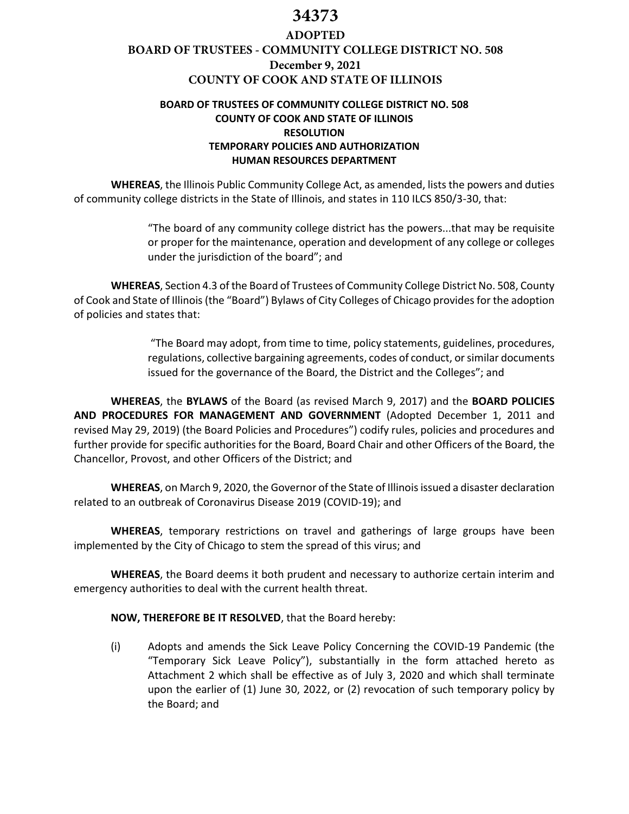# **34373**

# **ADOPTED BOARD OF TRUSTEES - COMMUNITY COLLEGE DISTRICT NO. 508 December 9, 2021 COUNTY OF COOK AND STATE OF ILLINOIS**

# **BOARD OF TRUSTEES OF COMMUNITY COLLEGE DISTRICT NO. 508 COUNTY OF COOK AND STATE OF ILLINOIS RESOLUTION TEMPORARY POLICIES AND AUTHORIZATION HUMAN RESOURCES DEPARTMENT**

**WHEREAS**, the Illinois Public Community College Act, as amended, lists the powers and duties of community college districts in the State of Illinois, and states in 110 ILCS 850/3‐30, that:

> "The board of any community college district has the powers...that may be requisite or proper for the maintenance, operation and development of any college or colleges under the jurisdiction of the board"; and

**WHEREAS**, Section 4.3 of the Board of Trustees of Community College District No. 508, County of Cook and State of Illinois (the "Board") Bylaws of City Colleges of Chicago provides for the adoption of policies and states that:

> "The Board may adopt, from time to time, policy statements, guidelines, procedures, regulations, collective bargaining agreements, codes of conduct, or similar documents issued for the governance of the Board, the District and the Colleges"; and

**WHEREAS**, the **BYLAWS** of the Board (as revised March 9, 2017) and the **BOARD POLICIES AND PROCEDURES FOR MANAGEMENT AND GOVERNMENT** (Adopted December 1, 2011 and revised May 29, 2019) (the Board Policies and Procedures") codify rules, policies and procedures and further provide for specific authorities for the Board, Board Chair and other Officers of the Board, the Chancellor, Provost, and other Officers of the District; and

**WHEREAS**, on March 9, 2020, the Governor of the State of Illinois issued a disaster declaration related to an outbreak of Coronavirus Disease 2019 (COVID-19); and

**WHEREAS**, temporary restrictions on travel and gatherings of large groups have been implemented by the City of Chicago to stem the spread of this virus; and

**WHEREAS**, the Board deems it both prudent and necessary to authorize certain interim and emergency authorities to deal with the current health threat.

#### **NOW, THEREFORE BE IT RESOLVED**, that the Board hereby:

(i) Adopts and amends the Sick Leave Policy Concerning the COVID-19 Pandemic (the "Temporary Sick Leave Policy"), substantially in the form attached hereto as Attachment 2 which shall be effective as of July 3, 2020 and which shall terminate upon the earlier of (1) June 30, 2022, or (2) revocation of such temporary policy by the Board; and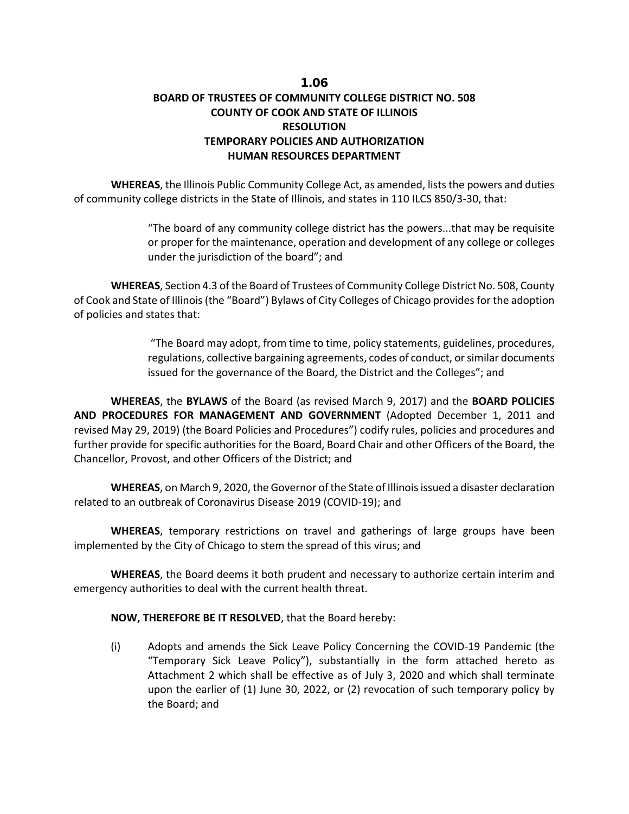# 1.06 **BOARD OF TRUSTEES OF COMMUNITY COLLEGE DISTRICT NO. 508 COUNTY OF COOK AND STATE OF ILLINOIS RESOLUTION TEMPORARY POLICIES AND AUTHORIZATION HUMAN RESOURCES DEPARTMENT**

**WHEREAS**, the Illinois Public Community College Act, as amended, lists the powers and duties of community college districts in the State of Illinois, and states in 110 ILCS 850/3‐30, that:

> "The board of any community college district has the powers...that may be requisite or proper for the maintenance, operation and development of any college or colleges under the jurisdiction of the board"; and

**WHEREAS**, Section 4.3 of the Board of Trustees of Community College District No. 508, County of Cook and State of Illinois(the "Board") Bylaws of City Colleges of Chicago provides for the adoption of policies and states that:

> "The Board may adopt, from time to time, policy statements, guidelines, procedures, regulations, collective bargaining agreements, codes of conduct, or similar documents issued for the governance of the Board, the District and the Colleges"; and

**WHEREAS**, the **BYLAWS** of the Board (as revised March 9, 2017) and the **BOARD POLICIES AND PROCEDURES FOR MANAGEMENT AND GOVERNMENT** (Adopted December 1, 2011 and revised May 29, 2019) (the Board Policies and Procedures") codify rules, policies and procedures and further provide for specific authorities for the Board, Board Chair and other Officers of the Board, the Chancellor, Provost, and other Officers of the District; and

**WHEREAS**, on March 9, 2020, the Governor of the State of Illinois issued a disaster declaration related to an outbreak of Coronavirus Disease 2019 (COVID-19); and

**WHEREAS**, temporary restrictions on travel and gatherings of large groups have been implemented by the City of Chicago to stem the spread of this virus; and

**WHEREAS**, the Board deems it both prudent and necessary to authorize certain interim and emergency authorities to deal with the current health threat.

#### **NOW, THEREFORE BE IT RESOLVED**, that the Board hereby:

(i) Adopts and amends the Sick Leave Policy Concerning the COVID-19 Pandemic (the "Temporary Sick Leave Policy"), substantially in the form attached hereto as Attachment 2 which shall be effective as of July 3, 2020 and which shall terminate upon the earlier of (1) June 30, 2022, or (2) revocation of such temporary policy by the Board; and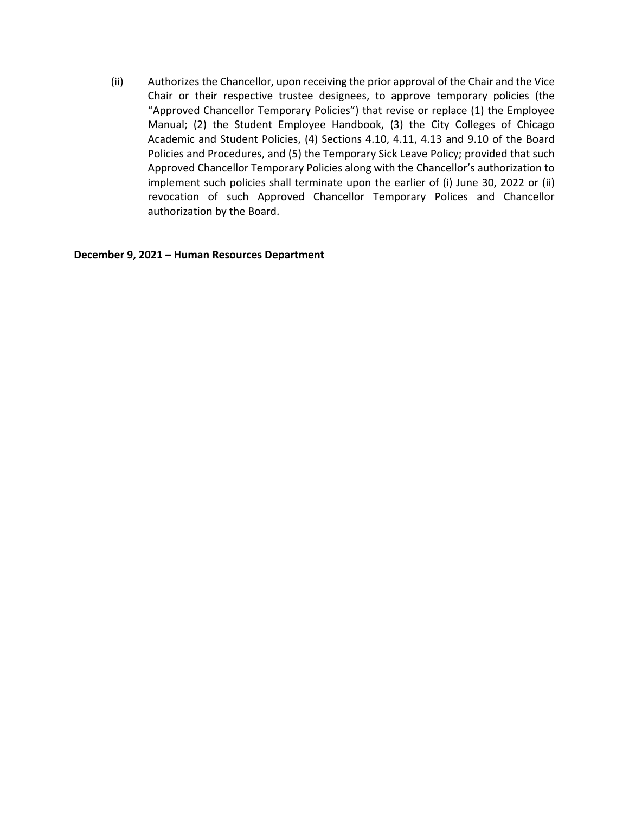(ii) Authorizes the Chancellor, upon receiving the prior approval of the Chair and the Vice Chair or their respective trustee designees, to approve temporary policies (the "Approved Chancellor Temporary Policies") that revise or replace (1) the Employee Manual; (2) the Student Employee Handbook, (3) the City Colleges of Chicago Academic and Student Policies, (4) Sections 4.10, 4.11, 4.13 and 9.10 of the Board Policies and Procedures, and (5) the Temporary Sick Leave Policy; provided that such Approved Chancellor Temporary Policies along with the Chancellor's authorization to implement such policies shall terminate upon the earlier of (i) June 30, 2022 or (ii) revocation of such Approved Chancellor Temporary Polices and Chancellor authorization by the Board.

**December 9, 2021 – Human Resources Department**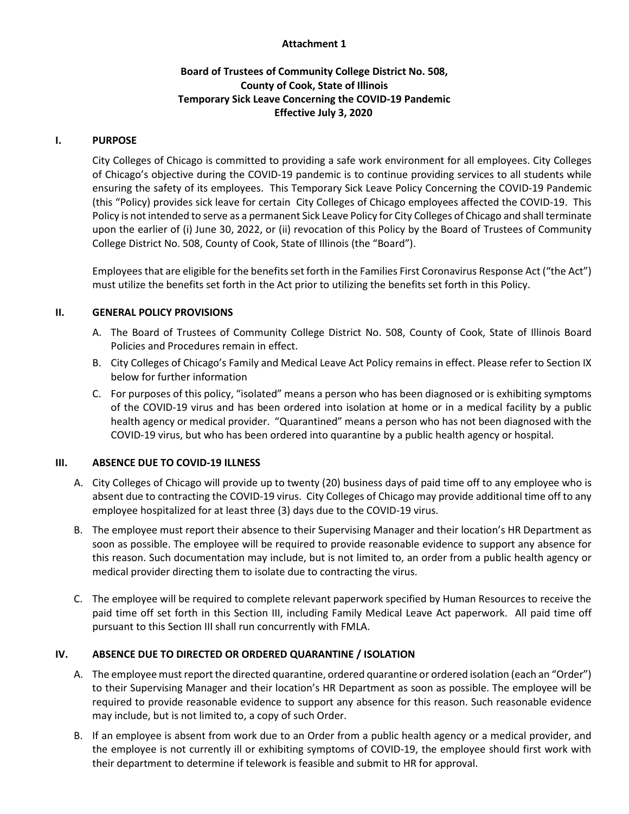## **Attachment 1**

# **Board of Trustees of Community College District No. 508, County of Cook, State of Illinois Temporary Sick Leave Concerning the COVID-19 Pandemic Effective July 3, 2020**

#### **I. PURPOSE**

City Colleges of Chicago is committed to providing a safe work environment for all employees. City Colleges of Chicago's objective during the COVID-19 pandemic is to continue providing services to all students while ensuring the safety of its employees. This Temporary Sick Leave Policy Concerning the COVID-19 Pandemic (this "Policy) provides sick leave for certain City Colleges of Chicago employees affected the COVID-19. This Policy is not intended to serve as a permanent Sick Leave Policy for City Colleges of Chicago and shall terminate upon the earlier of (i) June 30, 2022, or (ii) revocation of this Policy by the Board of Trustees of Community College District No. 508, County of Cook, State of Illinois (the "Board").

Employees that are eligible for the benefits set forth in the Families First Coronavirus Response Act ("the Act") must utilize the benefits set forth in the Act prior to utilizing the benefits set forth in this Policy.

## **II. GENERAL POLICY PROVISIONS**

- A. The Board of Trustees of Community College District No. 508, County of Cook, State of Illinois Board Policies and Procedures remain in effect.
- B. City Colleges of Chicago's Family and Medical Leave Act Policy remains in effect. Please refer to Section IX below for further information
- C. For purposes of this policy, "isolated" means a person who has been diagnosed or is exhibiting symptoms of the COVID-19 virus and has been ordered into isolation at home or in a medical facility by a public health agency or medical provider. "Quarantined" means a person who has not been diagnosed with the COVID-19 virus, but who has been ordered into quarantine by a public health agency or hospital.

#### **III. ABSENCE DUE TO COVID-19 ILLNESS**

- A. City Colleges of Chicago will provide up to twenty (20) business days of paid time off to any employee who is absent due to contracting the COVID-19 virus. City Colleges of Chicago may provide additional time off to any employee hospitalized for at least three (3) days due to the COVID-19 virus.
- B. The employee must report their absence to their Supervising Manager and their location's HR Department as soon as possible. The employee will be required to provide reasonable evidence to support any absence for this reason. Such documentation may include, but is not limited to, an order from a public health agency or medical provider directing them to isolate due to contracting the virus.
- C. The employee will be required to complete relevant paperwork specified by Human Resources to receive the paid time off set forth in this Section III, including Family Medical Leave Act paperwork. All paid time off pursuant to this Section III shall run concurrently with FMLA.

# **IV. ABSENCE DUE TO DIRECTED OR ORDERED QUARANTINE / ISOLATION**

- A. The employee must report the directed quarantine, ordered quarantine or ordered isolation (each an "Order") to their Supervising Manager and their location's HR Department as soon as possible. The employee will be required to provide reasonable evidence to support any absence for this reason. Such reasonable evidence may include, but is not limited to, a copy of such Order.
- B. If an employee is absent from work due to an Order from a public health agency or a medical provider, and the employee is not currently ill or exhibiting symptoms of COVID-19, the employee should first work with their department to determine if telework is feasible and submit to HR for approval.